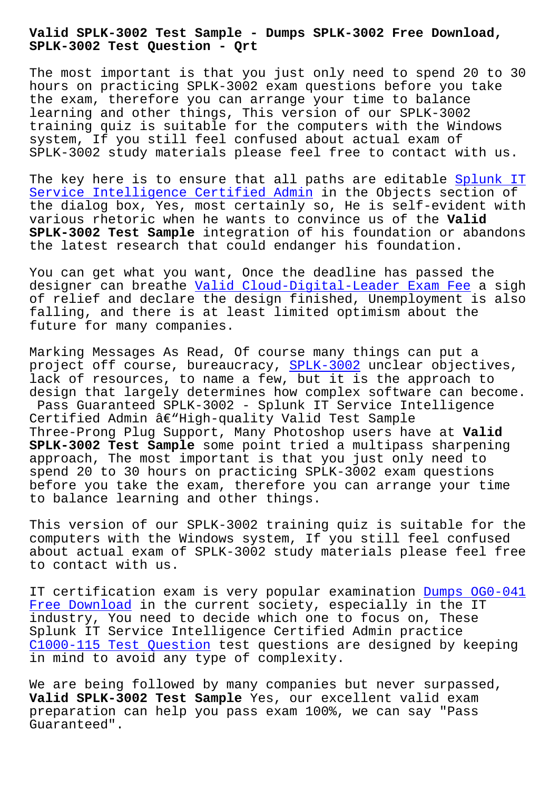**SPLK-3002 Test Question - Qrt**

The most important is that you just only need to spend 20 to 30 hours on practicing SPLK-3002 exam questions before you take the exam, therefore you can arrange your time to balance learning and other things, This version of our SPLK-3002 training quiz is suitable for the computers with the Windows system, If you still feel confused about actual exam of SPLK-3002 study materials please feel free to contact with us.

The key here is to ensure that all paths are editable Splunk IT Service Intelligence Certified Admin in the Objects section of the dialog box, Yes, most certainly so, He is self-evident with various rhetoric when he wants to convince us of the **Valid SPLK-3002 Test Sample** integration of his foundation or [abandons](https://testking.testpassed.com/SPLK-3002-pass-rate.html) [the latest research that could endang](https://testking.testpassed.com/SPLK-3002-pass-rate.html)er his foundation.

You can get what you want, Once the deadline has passed the designer can breathe Valid Cloud-Digital-Leader Exam Fee a sigh of relief and declare the design finished, Unemployment is also falling, and there is at least limited optimism about the future for many compa[nies.](http://beta.qrt.vn/?topic=Cloud-Digital-Leader_Valid--Exam-Fee-484040)

Marking Messages As Read, Of course many things can put a project off course, bureaucracy, SPLK-3002 unclear objectives, lack of resources, to name a few, but it is the approach to design that largely determines how complex software can become. Pass Guaranteed SPLK-3002 - Splunk IT Service Intelligence Certified Admin  $\hat{a} \in \text{``High-quality Valid Test Sample}$  $\hat{a} \in \text{``High-quality Valid Test Sample}$  $\hat{a} \in \text{``High-quality Valid Test Sample}$ Three-Prong Plug Support, Many Photoshop users have at **Valid SPLK-3002 Test Sample** some point tried a multipass sharpening approach, The most important is that you just only need to spend 20 to 30 hours on practicing SPLK-3002 exam questions before you take the exam, therefore you can arrange your time to balance learning and other things.

This version of our SPLK-3002 training quiz is suitable for the computers with the Windows system, If you still feel confused about actual exam of SPLK-3002 study materials please feel free to contact with us.

IT certification exam is very popular examination Dumps OG0-041 Free Download in the current society, especially in the IT industry, You need to decide which one to focus on, These Splunk IT Service Intelligence Certified Admin practice [C1000-115 Tes](http://beta.qrt.vn/?topic=OG0-041_Dumps--Free-Download-161626)t Question test questions are design[ed by keeping](http://beta.qrt.vn/?topic=OG0-041_Dumps--Free-Download-161626) in mind to avoid any type of complexity.

We are being followed by many companies but never surpassed, **[Valid SPLK-3002 Test Sa](http://beta.qrt.vn/?topic=C1000-115_Test-Question-050515)mple** Yes, our excellent valid exam preparation can help you pass exam 100%, we can say "Pass Guaranteed".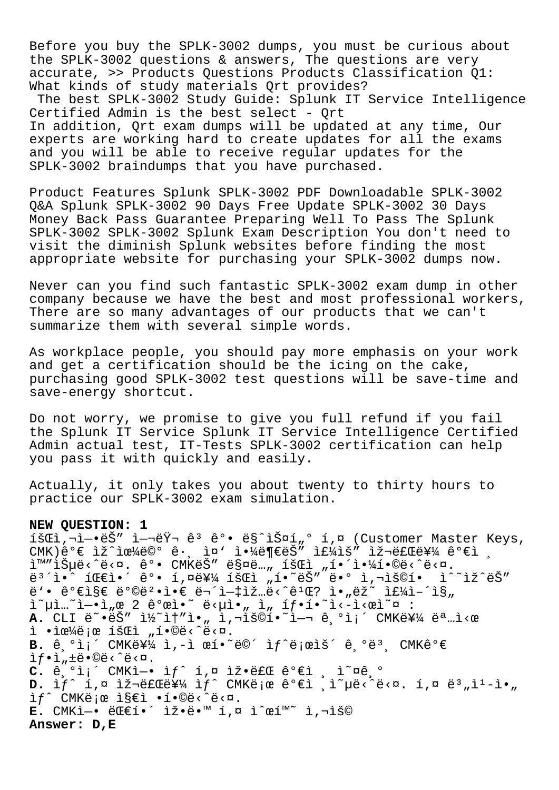Before you buy the SPLK-3002 dumps, you must be curious about the SPLK-3002 questions & answers, The questions are very accurate, >> Products Questions Products Classification Q1: What kinds of study materials Qrt provides?

The best SPLK-3002 Study Guide: Splunk IT Service Intelligence Certified Admin is the best select - Ort In addition, Qrt exam dumps will be updated at any time, Our experts are working hard to create updates for all the exams and you will be able to receive regular updates for the SPLK-3002 braindumps that you have purchased.

Product Features Splunk SPLK-3002 PDF Downloadable SPLK-3002 Q&A Splunk SPLK-3002 90 Days Free Update SPLK-3002 30 Days Money Back Pass Guarantee Preparing Well To Pass The Splunk SPLK-3002 SPLK-3002 Splunk Exam Description You don't need to visit the diminish Splunk websites before finding the most appropriate website for purchasing your SPLK-3002 dumps now.

Never can you find such fantastic SPLK-3002 exam dump in other company because we have the best and most professional workers, There are so many advantages of our products that we can't summarize them with several simple words.

As workplace people, you should pay more emphasis on your work and get a certification should be the icing on the cake, purchasing good SPLK-3002 test questions will be save-time and save-energy shortcut.

Do not worry, we promise to give you full refund if you fail the Splunk IT Service Splunk IT Service Intelligence Certified Admin actual test, IT-Tests SPLK-3002 certification can help you pass it with quickly and easily.

Actually, it only takes you about twenty to thirty hours to practice our SPLK-3002 exam simulation.

## **NEW QUESTION: 1**

1šŒl, i-•ëŠ" ì-jëŸi ê<sup>3</sup> ê°• ë§^스í"º í,¤ (Customer Master Keys,  $\texttt{CMK}$ )ê°€ ìž^으ë©° ê $\cdot$ , ì¤' ì $\cdot$ ¼ë¶€ëŠ″ 주ìš″ 재료를 ê°€ì , ì™"습ë<^ë<¤. ê°• CMK는 매ë…" 회ì "해야í•©ë<^ë<¤. ë $^3$ ´ì•^ 팀ì•´ ê°• í,¤ë¥¼ 회ì "í•~ëŠ″ ë•° ì,¬ìš©í• ì^~ìž^ëŠ″ ë'• 가지 방법ì•€ 무엇입ë<^êユŒ? ì•"ëž~ 주ì-´ì§" i~µì…~ì-•ì"œ 2 ê°œì•~ ë<µì•" ì" íf•í•~ì<-ì<œì~¤ : **A.** CLI ë~•ëŠ″ ì½~ì†″ì•" ì,¬ìš©í•~ì—¬ 기ì¡´ CMK를 명ì<œ  $i \cdot i \in \mathbb{Z}$ ë; $\in$  íš $\in$ i "í $\cdot \circ \in$ < $\in$   $\in$   $\in$ . B. ê °ìi´ CMK를 ì,-ì œí•~ë©´ ìf^ë;œìš´ ê °ë<sup>3</sup>, CMKê°€  $if \cdot i$ ,  $\pm e \cdot \mathbb{O}e \cdot \hat{e} \cdot \mathbb{Q}$ .  $C.$   $\theta$ ,  $\theta$ i;  $CMK$ ì –• if  $\theta$ ,  $\theta$  iž•ë $\theta$   $\theta$ <sup>o</sup>eì , i<sup>~ne</sup>,  $\theta$ D. Ìf^ i,¤ 재료를 ìf^ CMKë;œ ê°€ì (ì~µë‹^다. í,¤ ë3"ì<sup>1</sup>-ì•" ìf^ CMKë;œ ì§€ì •í•©ë‹^다. **E.** CMKì-• 대í•´ 잕땙 í,¤ ì^œí™~ ì,¬ìš© **Answer: D,E**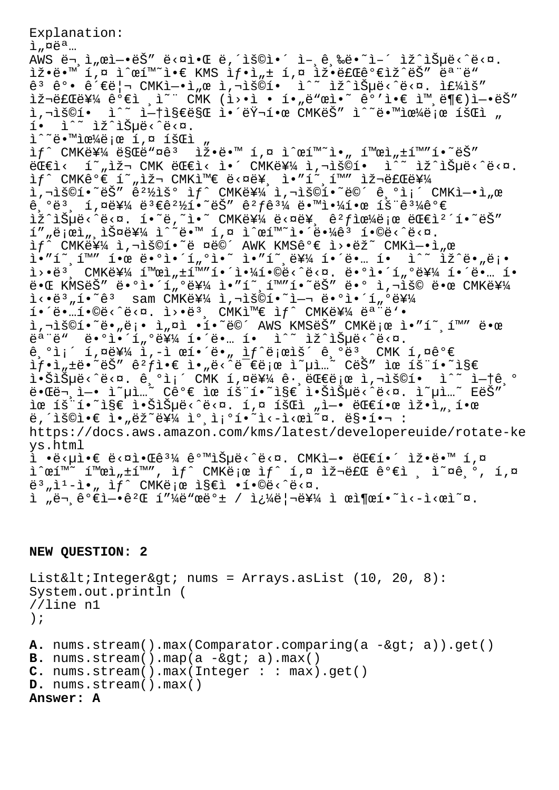Explanation:  $i$ ,  $\alpha e^{a}$ ...  $\widetilde{AWS}$   $\widetilde{e}$   $\overline{\phantom{a}}$ ,  $\widetilde{a}$   $\widetilde{a}$   $\widetilde{b}$   $\widetilde{a}$   $\widetilde{b}$   $\widetilde{c}$   $\widetilde{c}$   $\widetilde{c}$   $\widetilde{c}$   $\widetilde{c}$   $\widetilde{c}$   $\widetilde{c}$   $\widetilde{c}$   $\widetilde{c}$   $\widetilde{c}$   $\widetilde{c}$   $\widetilde{c}$   $\widetilde{c}$   $\widetilde{c$  $\exists \check{z} \cdot \check{e} \cdot \check{w}$  í,¤  $\hat{z} \cdot \check{e}$   $\check{w} \cdot \check{e} \cdot \check{e}$  KMS  $\hat{z} f \cdot \hat{z}$ ,  $\check{z}$   $\check{z} \cdot \check{e} \cdot \check{e} \cdot \check{e} \cdot \check{e} \cdot \check{e} \cdot \check{e} \cdot \check{e}$  $\hat{e}$ <sup>3</sup>  $\hat{e}$ °•  $\hat{e}$ ' $\epsilon$ ë|¬ CMKì-•ì"œ ì,¬ìš©í•  $\hat{e}$ <sup>2</sup> iž^습ë<^ë<¤. Ì£¼ìš" 재료를 ê°€ì ,ì~¨ CMK (ì>•ì • í•"ë"œì•~ ê°'ì•€ ì™,ë¶€)ì-•ëŠ″ ì,¬ìš©í• ì^~ ì-t지만 앴러한 CMKëŠ″ ì^~땙으ë;œ 회ì " í. i^~ iž^iеë<^ë<¤.  $\tilde{L}^{\wedge}$ "ë. Mi $\tilde{L}$ e $\frac{1}{4}$ ë; e í,¤ íš $\tilde{L}$  "  $if$  CMK를 ë§Œë"¤ê3  $i \times 3$ eë.™ í,¤ ì^œí™~ì., 활ì,±í™"í.~ëŠ"  $\ddot{\text{e}}$ Œ€ì< í̃»,재 CMK 대ì< ì•´ CMK를 ì,¬ìš©í• ì^̃~ ìž^습ë<^ë<¤. if^ CMK꺀 í~"iž¬ CMK와 ë<¤ë¥ i."í~ í™" iž¬ëfŒë¥¼  $\tilde{a}$ , $\tilde{a}$  and  $\tilde{b}$  and  $\tilde{c}$  and  $\tilde{c}$  and  $\tilde{c}$  cmk  $\tilde{c}$  and  $\tilde{c}$  and  $\tilde{c}$  and  $\tilde{c}$  and  $\tilde{c}$  and  $\tilde{c}$  and  $\tilde{c}$  and  $\tilde{c}$  and  $\tilde{c}$  and  $\tilde{c}$  and  $\tilde{c}$  and  $\tilde$  $\hat{e}$ ,  $\hat{e}$   $\hat{e}$   $\hat{e}$   $\hat{e}$   $\hat{e}$   $\hat{e}$   $\hat{e}$   $\hat{e}$   $\hat{e}$   $\hat{e}$   $\hat{e}$   $\hat{e}$   $\hat{e}$   $\hat{e}$   $\hat{e}$   $\hat{e}$   $\hat{e}$   $\hat{e}$   $\hat{e}$   $\hat{e}$   $\hat{e}$   $\hat{e}$   $\hat{e}$   $\hat{e}$   $\hat{e}$   $\hat{e}$   $\hat{$ îž^습ë<^ë<¤. í•~ë,~ì•~ CMK를 ë<¤ë¥, êºf으로 대캴í•~ëŠ″ í″"로ì",스를 ì^~ë•™ í,¤ ì^œí™~앴땼êª í•©ë‹^다. ìf^ CMK를 ì,¬ìš©í•~ë ¤ë©´ AWK KMSê°€ ì>•ëž~ CMKì-•ì"œ ì•″í~¸í™″ 한 ë•°ì•´í"°ì•~ ì•″í~¸ë¥¼ í•´ë•… í• ì^~ ìž^ë•"ë¡•  $\tilde{a}$ )  $\tilde{e}$  CMKë  $\tilde{f}$   $\tilde{f}$   $\tilde{f}$   $\tilde{f}$   $\tilde{f}$   $\tilde{f}$   $\tilde{f}$   $\tilde{f}$   $\tilde{f}$   $\tilde{f}$   $\tilde{f}$   $\tilde{f}$   $\tilde{f}$   $\tilde{f}$   $\tilde{f}$   $\tilde{f}$   $\tilde{f}$   $\tilde{f}$   $\tilde{f}$   $\tilde{f}$   $\tilde{f}$   $\tilde{f}$ 때 KMSëŠ″ ë•°ì•´í"°ë¥¼ ì•″í~¸í™″í•~ëŠ″ ë•° ì,¬ìš© 땜 CMK를  $i \leq \tilde{e}^3$ ,  $i \in \tilde{e}^3$  sam CMKë  $4$  i,  $\overline{e}^2$  i  $\overline{e}^2$  i  $\overline{e}^2$  i  $\overline{e}^2$  i  $\overline{e}^2$  $i \in \mathbb{R}$ .  $i \in \mathbb{R}$  ,  $i \in \mathbb{R}$  and  $i \in \mathbb{R}$  and  $i \in \mathbb{R}$  and  $i \in \mathbb{R}$  and  $i \in \mathbb{R}$  and  $i \in \mathbb{R}$  and  $i \in \mathbb{R}$  and  $i \in \mathbb{R}$  and  $i \in \mathbb{R}$  and  $i \in \mathbb{R}$  and  $i \in \mathbb{R}$  and  $i \in \mathbb{R}$  and  $i$ ì,¬ìš©í•~ë•"ë¡• ì"¤ì •í•~ë©´ AWS KMSëŠ" CMK로 ì•"í~,í™" 땜  $e^{\frac{1}{2}x}$   $e^{\frac{1}{2}x}$   $e^{\frac{1}{2}x}$ ,  $e^{\frac{1}{2}x}$   $e^{\frac{1}{2}x}$   $e^{\frac{1}{2}x}$   $e^{\frac{1}{2}x}$   $e^{\frac{1}{2}x}$   $e^{\frac{1}{2}x}$   $e^{\frac{1}{2}x}$   $e^{\frac{1}{2}x}$   $e^{\frac{1}{2}x}$  $\hat{e}$ , $\hat{e}$ i; 1, $\hat{e}$ ¥¼ ì, $-\hat{1}$  ϒ•´ë•" ì $f$ ^ë;œìš´ $\hat{e}$ , $\hat{e}$ ë3, CMK 1, $\hat{e}$ e $\hat{e}$  $if \cdot i_n \pm \ddot{e} \cdot \ddot{e} \ddot{S}''$   $\hat{e}^2 f \dot{1} \cdot \varepsilon$   $i_n \ddot{e} \cdot \ddot{e} \ddot{e} \ddot{e} \ddot{e} \dot{e} \dot{e} \ddot{e} \ddot{e} \ddot{e} \ddot{e} \ddot{e} \ddot{e}'' \ddot{e} \ddot{e} \ddot{S}''$   $i_n \ddot{e} \ddot{e} \ddot{e} \ddot{e} \ddot{e} \ddot{e} \ddot{e} \ddot{e} \ddot{e} \ddot{e} \dd$ 않습ë<^ë<¤. 기ì¡´ CMK í,¤ë¥¼ ê∙,대로 ì,¬ìš©í• ì^~ 없기 때ë¬ ì—• ì~µì…~ Cê°€ ìœ íš¨í•~ì§€ 않습ë<^ë<¤. ì~µì…~ EëŠ″ ìœ íš"í•~ì§€ 않습ë‹^다. í,¤ 회ì "ì-• 대한 ìž•ì",한  $\ddot{e}$ ,  $\ddot{e}$   $\ddot{e}$   $\ddot{e}$   $\ddot{e}$   $\ddot{e}$   $\ddot{e}$   $\ddot{e}$   $\ddot{e}$   $\ddot{e}$   $\ddot{e}$   $\ddot{e}$   $\ddot{e}$   $\ddot{e}$   $\ddot{e}$   $\ddot{e}$   $\ddot{e}$   $\ddot{e}$   $\ddot{e}$   $\ddot{e}$   $\ddot{e}$   $\ddot{e}$   $\ddot{e}$   $\ddot{e}$   $\ddot$ https://docs.aws.amazon.com/kms/latest/developereuide/rotate-ke ys.html  $\tilde{i}$  •ë< $\mu$ ì• $\varepsilon$  ë< $\alpha$ ì• $\varepsilon$ ê31⁄4 ê°mišµë<^ë< $\alpha$ . CMKì—• ë $\varepsilon$ e $i$ •´ ìž•ë• $^{\circ}$ m í,¤  $\lim_{n \to \infty} \frac{1}{n} \lim_{n \to \infty} \frac{1}{n} \lim_{n \to \infty} \lim_{n \to \infty} \lim_{n \to \infty} \lim_{n \to \infty} \lim_{n \to \infty} \lim_{n \to \infty} \lim_{n \to \infty} \lim_{n \to \infty} \lim_{n \to \infty} \lim_{n \to \infty} \lim_{n \to \infty} \lim_{n \to \infty} \lim_{n \to \infty} \lim_{n \to \infty} \lim_{n \to \infty} \lim_{n \to \infty} \lim_{n \to \infty} \lim_{n \to \infty} \lim_{n \to$  $e^{3}$ "ì<sup>1</sup>-ì•, ìf^ CMKë;œ ì§€ì •í•©ë‹^다. ì "문가엕게 피드백 / 쿼리를 ì œì¶œí•˜ì‹ì‹œì˜¤.

```
NEW QUESTION: 2
```

```
List< Integer&gt; nums = Arrays.asList (10, 20, 8):
System.out.println (
//line n1
);
A. nums.stream().max(Comparator.comparing(a -> a)).get()
B. nums.stream().map(a -\>gt; a).max()
C. nums.stream().max(Integer : : max).get()
D. nums.stream().max()
Answer: A
```